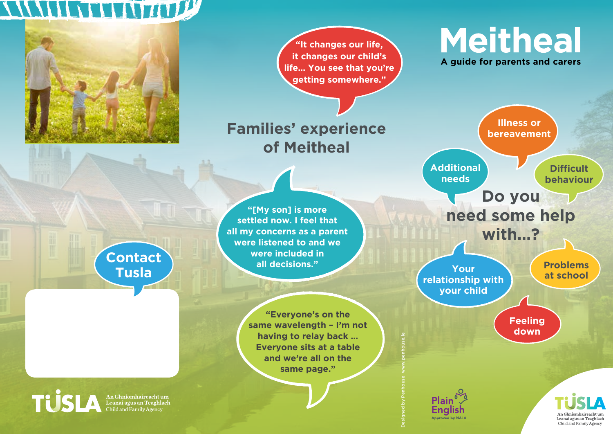## WWW.WARTHOUSE



**"It changes our life, it changes our child's life… You see that you're getting somewhere."**

## **Families' experience of Meitheal**

**"[My son] is more settled now. I feel that all my concerns as a parent were listened to and we were included in all decisions."**

> **"Everyone's on the same wavelength – I'm not having to relay back … Everyone sits at a table and we're all on the same page."**

Designed by Penhouse www.penhouse.ie

Approved by NALA

**Meitheal A guide for parents and carers**



An Chníomhaireacht un

Leanaí agus an Teaghlach Child and Family Agency

**Contact Tusla**

An Ghníomhaireacht um<br>Leanaí agus an Teaghlach